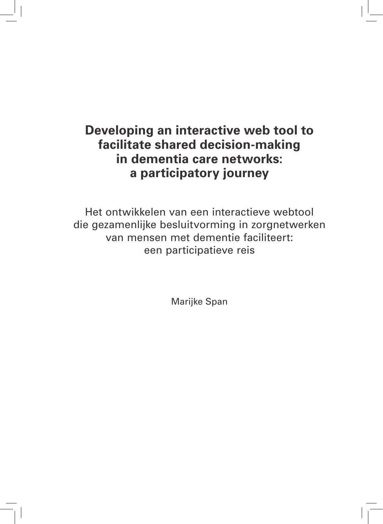# **Developing an interactive web tool to facilitate shared decision-making in dementia care networks: a participatory journey**

Het ontwikkelen van een interactieve webtool die gezamenlijke besluitvorming in zorgnetwerken van mensen met dementie faciliteert: een participatieve reis

Marijke Span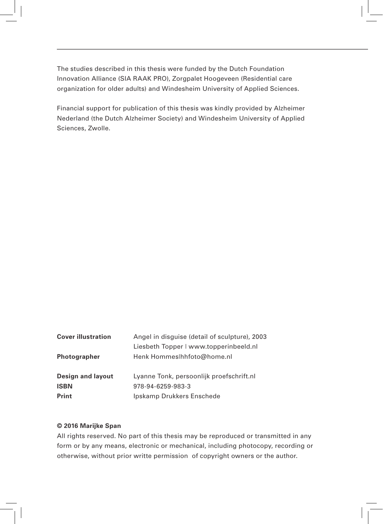The studies described in this thesis were funded by the Dutch Foundation Innovation Alliance (SIA RAAK PRO), Zorgpalet Hoogeveen (Residential care organization for older adults) and Windesheim University of Applied Sciences.

Financial support for publication of this thesis was kindly provided by Alzheimer Nederland (the Dutch Alzheimer Society) and Windesheim University of Applied Sciences, Zwolle.

| <b>Cover illustration</b> | Angel in disguise (detail of sculpture), 2003 |
|---------------------------|-----------------------------------------------|
|                           | Liesbeth Topper   www.topperinbeeld.nl        |
| <b>Photographer</b>       | Henk Hommeslhhfoto@home.nl                    |
| <b>Design and layout</b>  | Lyanne Tonk, persoonlijk proefschrift.nl      |
| <b>ISBN</b>               | 978-94-6259-983-3                             |
| <b>Print</b>              | Ipskamp Drukkers Enschede                     |
|                           |                                               |

#### **© 2016 Marijke Span**

All rights reserved. No part of this thesis may be reproduced or transmitted in any form or by any means, electronic or mechanical, including photocopy, recording or otherwise, without prior writte permission of copyright owners or the author.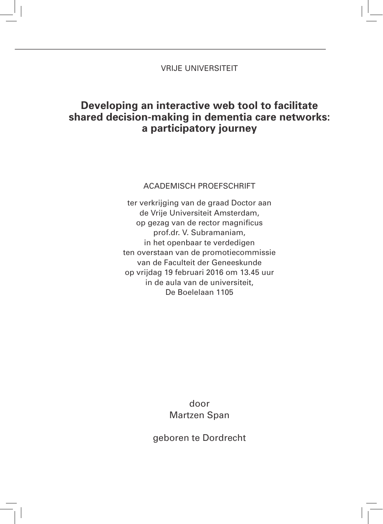### VRIJE UNIVERSITEIT

## **Developing an interactive web tool to facilitate shared decision-making in dementia care networks: a participatory journey**

#### ACADEMISCH PROEFSCHRIFT

ter verkrijging van de graad Doctor aan de Vrije Universiteit Amsterdam, op gezag van de rector magnificus prof.dr. V. Subramaniam, in het openbaar te verdedigen ten overstaan van de promotiecommissie van de Faculteit der Geneeskunde op vrijdag 19 februari 2016 om 13.45 uur in de aula van de universiteit, De Boelelaan 1105

### door Martzen Span

geboren te Dordrecht